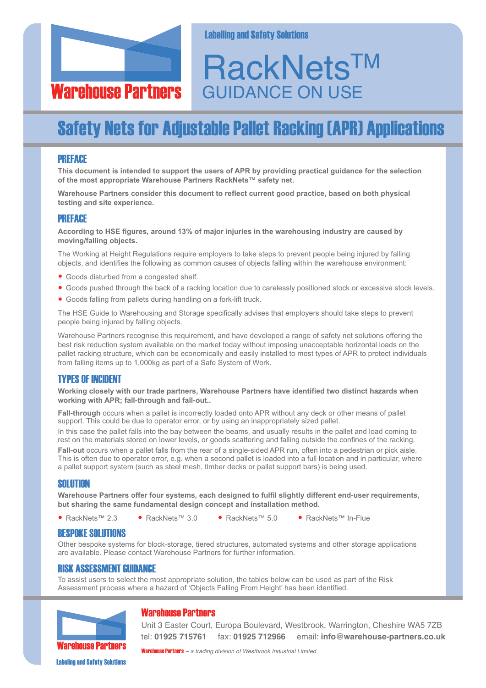

**Labelling and Safety Solutions** 

# **RackNets™** GUIDANCE ON USE

## **Safety Nets for Adjustable Pallet Racking (APR) Applications**

#### **PRFFACE**

**This document is intended to support the users of APR by providing practical guidance for the selection of the most appropriate Warehouse Partners RackNets™ safety net.**

**Warehouse Partners consider this document to reflect current good practice, based on both physical testing and site experience.**

#### PREFACE

**According to HSE figures, around 13% of major injuries in the warehousing industry are caused by moving/falling objects.**

The Working at Height Regulations require employers to take steps to prevent people being injured by falling objects, and identifies the following as common causes of objects falling within the warehouse environment:

- Goods disturbed from <sup>a</sup> congested shelf.
- Goods pushed through the back of <sup>a</sup> racking location due to carelessly positioned stock or excessive stock levels.
- Goods falling from pallets during handling on <sup>a</sup> fork-lift truck.

The HSE Guide to Warehousing and Storage specifically advises that employers should take steps to prevent people being injured by falling objects.

Warehouse Partners recognise this requirement, and have developed a range of safety net solutions offering the best risk reduction system available on the market today without imposing unacceptable horizontal loads on the pallet racking structure, which can be economically and easily installed to most types of APR to protect individuals from falling items up to 1,000kg as part of a Safe System of Work.

### **TYPES OF INCIDENT**

**Working closely with our trade partners, Warehouse Partners have identified two distinct hazards when working with APR; fall-through and fall-out..**

**Fall-through** occurs when a pallet is incorrectly loaded onto APR without any deck or other means of pallet support. This could be due to operator error, or by using an inappropriately sized pallet.

In this case the pallet falls into the bay between the beams, and usually results in the pallet and load coming to rest on the materials stored on lower levels, or goods scattering and falling outside the confines of the racking.

**Fall-out** occurs when a pallet falls from the rear of a single-sided APR run, often into a pedestrian or pick aisle. This is often due to operator error, e.g. when a second pallet is loaded into a full location and in particular, where a pallet support system (such as steel mesh, timber decks or pallet support bars) is being used.

#### SOLUTION

**Warehouse Partners offer four systems, each designed to fulfil slightly different end-user requirements, but sharing the same fundamental design concept and installation method.**

• RackNets™ 2.3 • RackNets™ 3.0 • RackNets™ 5.0 • RackNets™ In-Flue

#### **BESPOKE SOLUTIONS**

Other bespoke systems for block-storage, tiered structures, automated systems and other storage applications are available. Please contact Warehouse Partners for further information.

#### **RISK ASSESSMENT GUIDANCE**

To assist users to select the most appropriate solution, the tables below can be used as part of the Risk Assessment process where a hazard of 'Objects Falling From Height' has been identified.



#### **Warehouse Partners**

Unit 3 Easter Court, Europa Boulevard, Westbrook, Warrington, Cheshire WA5 7ZB tel: **01925 715761** fax: **01925 712966** email: **info@warehouse-partners.co.uk**

WarehousePartners *– a trading division of Westbrook Industrial Limited*

**Labeling and Safety Solutions**